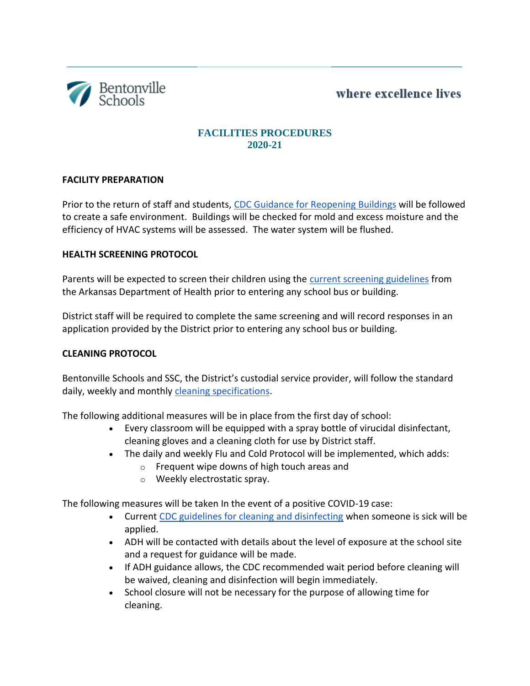where excellence lives



# **FACILITIES PROCEDURES 2020-21**

### **FACILITY PREPARATION**

Prior to the return of staff and students, [CDC Guidance for Reopening Buildings](https://www.cdc.gov/coronavirus/2019-ncov/php/building-water-system.html) will be followed to create a safe environment. Buildings will be checked for mold and excess moisture and the efficiency of HVAC systems will be assessed. The water system will be flushed.

### **HEALTH SCREENING PROTOCOL**

Parents will be expected to screen their children using the [current screening guidelines](http://adh-staging.ark.org/images/uploads/pdf/COVID-19_Visitor_Screening_Toolkit_final.pdf) from the Arkansas Department of Health prior to entering any school bus or building.

District staff will be required to complete the same screening and will record responses in an application provided by the District prior to entering any school bus or building.

### **CLEANING PROTOCOL**

Bentonville Schools and SSC, the District's custodial service provider, will follow the standard daily, weekly and monthly [cleaning specifications.](https://drive.google.com/file/d/1tQbmyDr-ljuuozDRiNCC3Txb7W63DVNu/view?usp=sharing)

The following additional measures will be in place from the first day of school:

- Every classroom will be equipped with a spray bottle of virucidal disinfectant, cleaning gloves and a cleaning cloth for use by District staff.
- The daily and weekly Flu and Cold Protocol will be implemented, which adds:
	- o Frequent wipe downs of high touch areas and
	- o Weekly electrostatic spray.

The following measures will be taken In the event of a positive COVID-19 case:

- Current [CDC guidelines for cleaning and disinfecting](https://www.cdc.gov/coronavirus/2019-ncov/community/disinfecting-building-facility.html) when someone is sick will be applied.
- ADH will be contacted with details about the level of exposure at the school site and a request for guidance will be made.
- If ADH guidance allows, the CDC recommended wait period before cleaning will be waived, cleaning and disinfection will begin immediately.
- School closure will not be necessary for the purpose of allowing time for cleaning.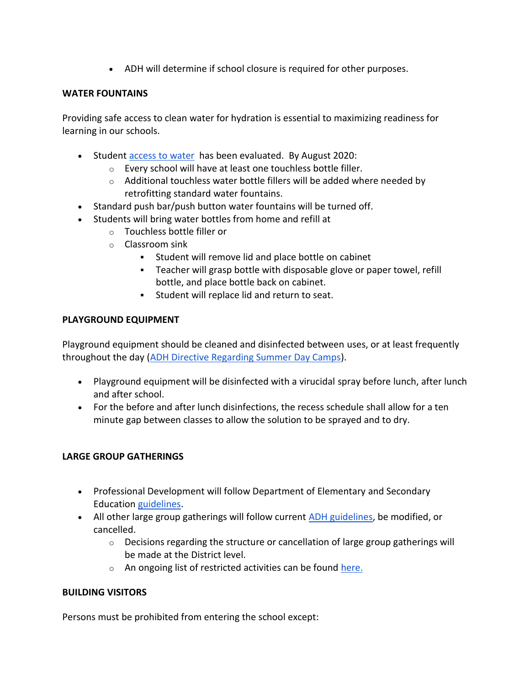ADH will determine if school closure is required for other purposes.

### **WATER FOUNTAINS**

Providing safe access to clean water for hydration is essential to maximizing readiness for learning in our schools.

- Student [access to water](https://drive.google.com/file/d/15Ogm6WdV4m77Df2D6UAJBm0HHTUHHPOD/view?usp=sharing) has been evaluated. By August 2020:
	- o Every school will have at least one touchless bottle filler.
	- $\circ$  Additional touchless water bottle fillers will be added where needed by retrofitting standard water fountains.
- Standard push bar/push button water fountains will be turned off.
- Students will bring water bottles from home and refill at
	- o Touchless bottle filler or
	- o Classroom sink
		- Student will remove lid and place bottle on cabinet
		- Teacher will grasp bottle with disposable glove or paper towel, refill bottle, and place bottle back on cabinet.
		- Student will replace lid and return to seat.

# **PLAYGROUND EQUIPMENT**

Playground equipment should be cleaned and disinfected between uses, or at least frequently throughout the day [\(ADH Directive Regarding Summer Day Camps\)](https://www.healthy.arkansas.gov/images/uploads/pdf/directive_covid_summer_day_camps.pdf).

- Playground equipment will be disinfected with a virucidal spray before lunch, after lunch and after school.
- For the before and after lunch disinfections, the recess schedule shall allow for a ten minute gap between classes to allow the solution to be sprayed and to dry.

# **LARGE GROUP GATHERINGS**

- Professional Development will follow Department of Elementary and Secondary Education [guidelines.](https://docs.google.com/document/d/1ja00hXfoAHuAwmwZmZr3U4Hni4ZvXNWq2Xy2ur4zPz0/edit?usp=sharing)
- All other large group gatherings will follow current **ADH** guidelines, be modified, or cancelled.
	- o Decisions regarding the structure or cancellation of large group gatherings will be made at the District level.
	- o An ongoing list of restricted activities can be found [here.](https://docs.google.com/document/d/1MGYVQgKzTUWm7V_oTcrVfvlpHnwybhJJLnqhHeAWdkU/edit)

# **BUILDING VISITORS**

Persons must be prohibited from entering the school except: